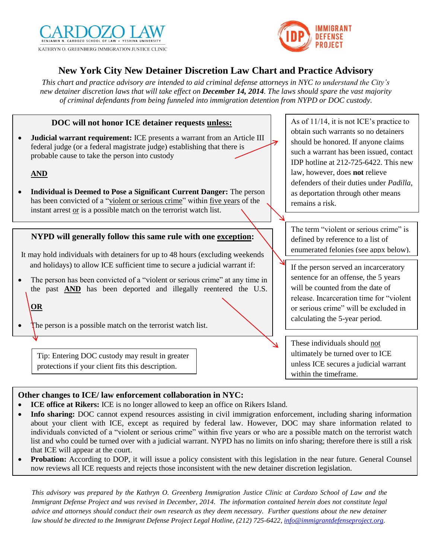



# **New York City New Detainer Discretion Law Chart and Practice Advisory**

*This chart and practice advisory are intended to aid criminal defense attorneys in NYC to understand the City's new detainer discretion laws that will take effect on December 14, 2014. The laws should spare the vast majority of criminal defendants from being funneled into immigration detention from NYPD or DOC custody.*

### **DOC will not honor ICE detainer requests unless:**

 **Judicial warrant requirement:** ICE presents a warrant from an Article III federal judge (or a federal magistrate judge) establishing that there is probable cause to take the person into custody

#### **AND**

 **Individual is Deemed to Pose a Significant Current Danger:** The person has been convicted of a "violent or serious crime" within five years of the instant arrest or is a possible match on the terrorist watch list.

#### **NYPD will generally follow this same rule with one exception:**

- It may hold individuals with detainers for up to 48 hours (excluding weekends and holidays) to allow ICE sufficient time to secure a judicial warrant if:
- The person has been convicted of a "violent or serious crime" at any time in the past **AND** has been deported and illegally reentered the U.S.

## **OR**

The person is a possible match on the terrorist watch list.

Tip: Entering DOC custody may result in greater protections if your client fits this description.

As of 11/14, it is not ICE's practice to obtain such warrants so no detainers should be honored. If anyone claims such a warrant has been issued, contact IDP hotline at 212-725-6422. This new law, however, does **not** relieve defenders of their duties under *Padilla*, as deportation through other means remains a risk.

The term "violent or serious crime" is defined by reference to a list of enumerated felonies (see appx below).

If the person served an incarceratory sentence for an offense, the 5 years will be counted from the date of release. Incarceration time for "violent or serious crime" will be excluded in calculating the 5-year period.

These individuals should not ultimately be turned over to ICE unless ICE secures a judicial warrant within the timeframe.

## **Other changes to ICE/ law enforcement collaboration in NYC:**

- **ICE office at Rikers:** ICE is no longer allowed to keep an office on Rikers Island.
- **Info sharing:** DOC cannot expend resources assisting in civil immigration enforcement, including sharing information about your client with ICE, except as required by federal law. However, DOC may share information related to individuals convicted of a "violent or serious crime" within five years or who are a possible match on the terrorist watch list and who could be turned over with a judicial warrant. NYPD has no limits on info sharing; therefore there is still a risk that ICE will appear at the court.
- IDE WILL ACCORDUND **PERMATION**<br>**• Probation:** According to DOP, it will issue a policy consistent with this legislation in the near future. General Counsel now reviews all ICE requests and rejects those inconsistent with the new detainer discretion legislation.

*This advisory was prepared by the Kathryn O. Greenberg Immigration Justice Clinic at Cardozo School of Law and the Immigrant Defense Project and was revised in December, 2014. The information contained herein does not constitute legal advice and attorneys should conduct their own research as they deem necessary. Further questions about the new detainer law should be directed to the Immigrant Defense Project Legal Hotline, (212) 725-6422[, info@immigrantdefenseproject.org.](mailto:info@immigrantdefenseproject.org)*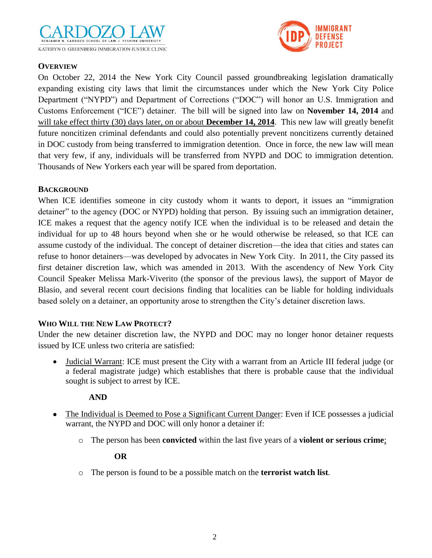



## **OVERVIEW**

On October 22, 2014 the New York City Council passed groundbreaking legislation dramatically expanding existing city laws that limit the circumstances under which the New York City Police Department ("NYPD") and Department of Corrections ("DOC") will honor an U.S. Immigration and Customs Enforcement ("ICE") detainer. The bill will be signed into law on **November 14, 2014** and will take effect thirty (30) days later, on or about **December 14, 2014**. This new law will greatly benefit future noncitizen criminal defendants and could also potentially prevent noncitizens currently detained in DOC custody from being transferred to immigration detention. Once in force, the new law will mean that very few, if any, individuals will be transferred from NYPD and DOC to immigration detention. Thousands of New Yorkers each year will be spared from deportation.

## **BACKGROUND**

When ICE identifies someone in city custody whom it wants to deport, it issues an "immigration" detainer" to the agency (DOC or NYPD) holding that person. By issuing such an immigration detainer, ICE makes a request that the agency notify ICE when the individual is to be released and detain the individual for up to 48 hours beyond when she or he would otherwise be released, so that ICE can assume custody of the individual. The concept of detainer discretion—the idea that cities and states can refuse to honor detainers—was developed by advocates in New York City. In 2011, the City passed its first detainer discretion law, which was amended in 2013. With the ascendency of New York City Council Speaker Melissa Mark-Viverito (the sponsor of the previous laws), the support of Mayor de Blasio, and several recent court decisions finding that localities can be liable for holding individuals based solely on a detainer, an opportunity arose to strengthen the City's detainer discretion laws.

## **WHO WILL THE NEW LAW PROTECT?**

Under the new detainer discretion law, the NYPD and DOC may no longer honor detainer requests issued by ICE unless two criteria are satisfied:

 Judicial Warrant: ICE must present the City with a warrant from an Article III federal judge (or a federal magistrate judge) which establishes that there is probable cause that the individual sought is subject to arrest by ICE.

## **AND**

- The Individual is Deemed to Pose a Significant Current Danger: Even if ICE possesses a judicial warrant, the NYPD and DOC will only honor a detainer if:
	- o The person has been **convicted** within the last five years of a **violent or serious crime**;

#### **OR**

o The person is found to be a possible match on the **terrorist watch list***.*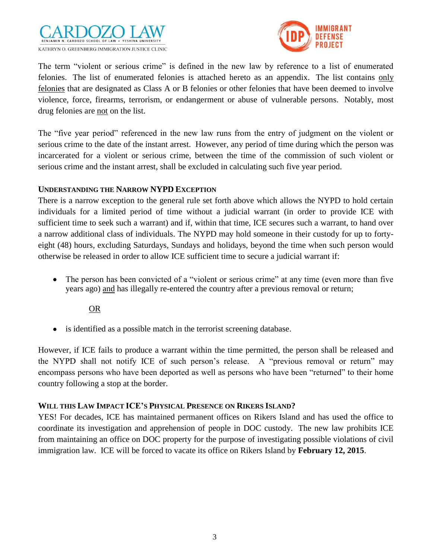



The term "violent or serious crime" is defined in the new law by reference to a list of enumerated felonies. The list of enumerated felonies is attached hereto as an appendix. The list contains only felonies that are designated as Class A or B felonies or other felonies that have been deemed to involve violence, force, firearms, terrorism, or endangerment or abuse of vulnerable persons. Notably, most drug felonies are not on the list.

The "five year period" referenced in the new law runs from the entry of judgment on the violent or serious crime to the date of the instant arrest. However, any period of time during which the person was incarcerated for a violent or serious crime, between the time of the commission of such violent or serious crime and the instant arrest, shall be excluded in calculating such five year period.

#### **UNDERSTANDING THE NARROW NYPD EXCEPTION**

There is a narrow exception to the general rule set forth above which allows the NYPD to hold certain individuals for a limited period of time without a judicial warrant (in order to provide ICE with sufficient time to seek such a warrant) and if, within that time, ICE secures such a warrant, to hand over a narrow additional class of individuals. The NYPD may hold someone in their custody for up to fortyeight (48) hours, excluding Saturdays, Sundays and holidays, beyond the time when such person would otherwise be released in order to allow ICE sufficient time to secure a judicial warrant if:

• The person has been convicted of a "violent or serious crime" at any time (even more than five years ago) and has illegally re-entered the country after a previous removal or return;

OR

• is identified as a possible match in the terrorist screening database.

However, if ICE fails to produce a warrant within the time permitted, the person shall be released and the NYPD shall not notify ICE of such person's release. A "previous removal or return" may encompass persons who have been deported as well as persons who have been "returned" to their home country following a stop at the border.

#### **WILL THIS LAW IMPACT ICE'S PHYSICAL PRESENCE ON RIKERS ISLAND?**

YES! For decades, ICE has maintained permanent offices on Rikers Island and has used the office to coordinate its investigation and apprehension of people in DOC custody. The new law prohibits ICE from maintaining an office on DOC property for the purpose of investigating possible violations of civil immigration law. ICE will be forced to vacate its office on Rikers Island by **February 12, 2015**.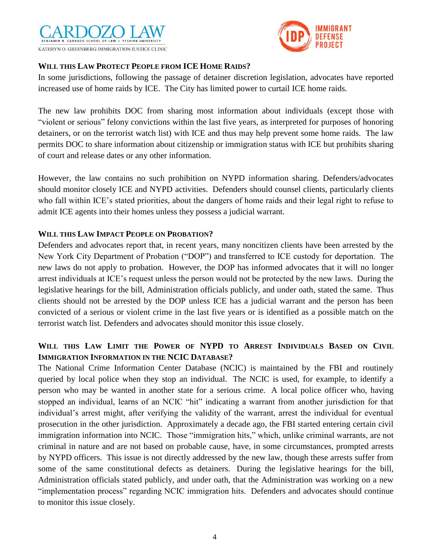



## **WILL THIS LAW PROTECT PEOPLE FROM ICE HOME RAIDS?**

In some jurisdictions, following the passage of detainer discretion legislation, advocates have reported increased use of home raids by ICE. The City has limited power to curtail ICE home raids.

The new law prohibits DOC from sharing most information about individuals (except those with "violent or serious" felony convictions within the last five years, as interpreted for purposes of honoring detainers, or on the terrorist watch list) with ICE and thus may help prevent some home raids. The law permits DOC to share information about citizenship or immigration status with ICE but prohibits sharing of court and release dates or any other information.

However, the law contains no such prohibition on NYPD information sharing. Defenders/advocates should monitor closely ICE and NYPD activities. Defenders should counsel clients, particularly clients who fall within ICE's stated priorities, about the dangers of home raids and their legal right to refuse to admit ICE agents into their homes unless they possess a judicial warrant.

#### **WILL THIS LAW IMPACT PEOPLE ON PROBATION?**

Defenders and advocates report that, in recent years, many noncitizen clients have been arrested by the New York City Department of Probation ("DOP") and transferred to ICE custody for deportation. The new laws do not apply to probation. However, the DOP has informed advocates that it will no longer arrest individuals at ICE's request unless the person would not be protected by the new laws. During the legislative hearings for the bill, Administration officials publicly, and under oath, stated the same. Thus clients should not be arrested by the DOP unless ICE has a judicial warrant and the person has been convicted of a serious or violent crime in the last five years or is identified as a possible match on the terrorist watch list. Defenders and advocates should monitor this issue closely.

## **WILL THIS LAW LIMIT THE POWER OF NYPD TO ARREST INDIVIDUALS BASED ON CIVIL IMMIGRATION INFORMATION IN THE NCIC DATABASE?**

The National Crime Information Center Database (NCIC) is maintained by the FBI and routinely queried by local police when they stop an individual. The NCIC is used, for example, to identify a person who may be wanted in another state for a serious crime. A local police officer who, having stopped an individual, learns of an NCIC "hit" indicating a warrant from another jurisdiction for that individual's arrest might, after verifying the validity of the warrant, arrest the individual for eventual prosecution in the other jurisdiction. Approximately a decade ago, the FBI started entering certain civil immigration information into NCIC. Those "immigration hits," which, unlike criminal warrants, are not criminal in nature and are not based on probable cause, have, in some circumstances, prompted arrests by NYPD officers. This issue is not directly addressed by the new law, though these arrests suffer from some of the same constitutional defects as detainers. During the legislative hearings for the bill, Administration officials stated publicly, and under oath, that the Administration was working on a new "implementation process" regarding NCIC immigration hits. Defenders and advocates should continue to monitor this issue closely.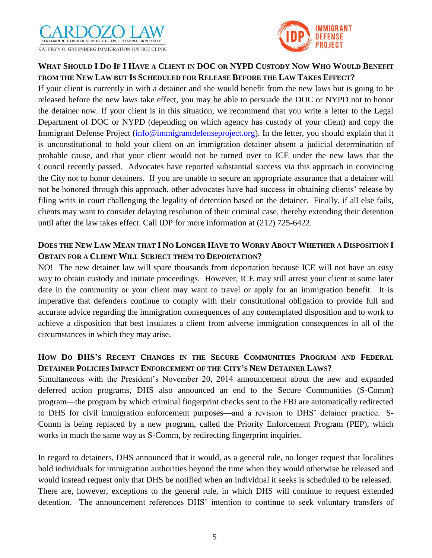



# WHAT SHOULD I DO IF I HAVE A CLIENT IN DOC OR NYPD CUSTODY NOW WHO WOULD BENEFIT **FROM THE NEW LAW BUT IS SCHEDULED FOR RELEASE BEFORE THE LAW TAKES EFFECT?**

If your client is currently in with a detainer and she would benefit from the new laws but is going to be released before the new laws take effect, you may be able to persuade the DOC or NYPD not to honor the detainer now. If your client is in this situation, we recommend that you write a letter to the Legal Department of DOC or NYPD (depending on which agency has custody of your client) and copy the Immigrant Defense Project [\(info@immigrantdefenseproject.org\)](mailto:info@immigrantdefenseproject.org). In the letter, you should explain that it is unconstitutional to hold your client on an immigration detainer absent a judicial determination of probable cause, and that your client would not be turned over to ICE under the new laws that the Council recently passed. Advocates have reported substantial success via this approach in convincing the City not to honor detainers. If you are unable to secure an appropriate assurance that a detainer will not be honored through this approach, other advocates have had success in obtaining clients' release by filing writs in court challenging the legality of detention based on the detainer. Finally, if all else fails, clients may want to consider delaying resolution of their criminal case, thereby extending their detention until after the law takes effect. Call IDP for more information at (212) 725-6422.

## DOES THE NEW LAW MEAN THAT I NO LONGER HAVE TO WORRY ABOUT WHETHER A DISPOSITION I **OBTAIN FOR A CLIENT WILL SUBJECT THEM TO DEPORTATION?**

NO! The new detainer law will spare thousands from deportation because ICE will not have an easy way to obtain custody and initiate proceedings. However, ICE may still arrest your client at some later date in the community or your client may want to travel or apply for an immigration benefit. It is imperative that defenders continue to comply with their constitutional obligation to provide full and accurate advice regarding the immigration consequences of any contemplated disposition and to work to achieve a disposition that best insulates a client from adverse immigration consequences in all of the circumstances in which they may arise.

# **HOW DO DHS'S RECENT CHANGES IN THE SECURE COMMUNITIES PROGRAM AND FEDERAL DETAINER POLICIES IMPACT ENFORCEMENT OF THE CITY'S NEW DETAINER LAWS?**

Simultaneous with the President's November 20, 2014 announcement about the new and expanded deferred action programs, DHS also announced an end to the Secure Communities (S-Comm) program—the program by which criminal fingerprint checks sent to the FBI are automatically redirected to DHS for civil immigration enforcement purposes—and a revision to DHS' detainer practice. S-Comm is being replaced by a new program, called the Priority Enforcement Program (PEP), which works in much the same way as S-Comm, by redirecting fingerprint inquiries.

In regard to detainers, DHS announced that it would, as a general rule, no longer request that localities hold individuals for immigration authorities beyond the time when they would otherwise be released and would instead request only that DHS be notified when an individual it seeks is scheduled to be released. There are, however, exceptions to the general rule, in which DHS will continue to request extended detention. The announcement references DHS' intention to continue to seek voluntary transfers of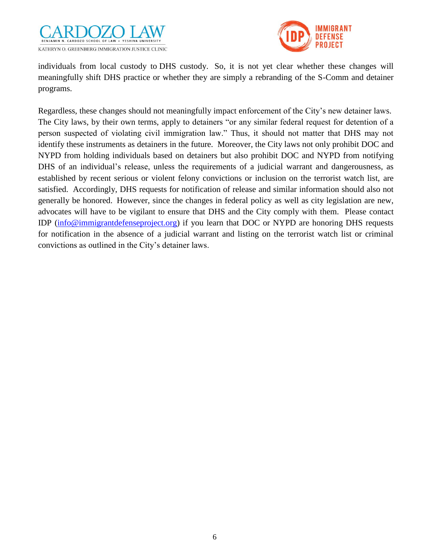



individuals from local custody to DHS custody. So, it is not yet clear whether these changes will meaningfully shift DHS practice or whether they are simply a rebranding of the S-Comm and detainer programs.

Regardless, these changes should not meaningfully impact enforcement of the City's new detainer laws. The City laws, by their own terms, apply to detainers "or any similar federal request for detention of a person suspected of violating civil immigration law." Thus, it should not matter that DHS may not identify these instruments as detainers in the future. Moreover, the City laws not only prohibit DOC and NYPD from holding individuals based on detainers but also prohibit DOC and NYPD from notifying DHS of an individual's release, unless the requirements of a judicial warrant and dangerousness, as established by recent serious or violent felony convictions or inclusion on the terrorist watch list, are satisfied. Accordingly, DHS requests for notification of release and similar information should also not generally be honored. However, since the changes in federal policy as well as city legislation are new, advocates will have to be vigilant to ensure that DHS and the City comply with them. Please contact IDP [\(info@immigrantdefenseproject.org\)](mailto:info@immigrantdefenseproject.org) if you learn that DOC or NYPD are honoring DHS requests for notification in the absence of a judicial warrant and listing on the terrorist watch list or criminal convictions as outlined in the City's detainer laws.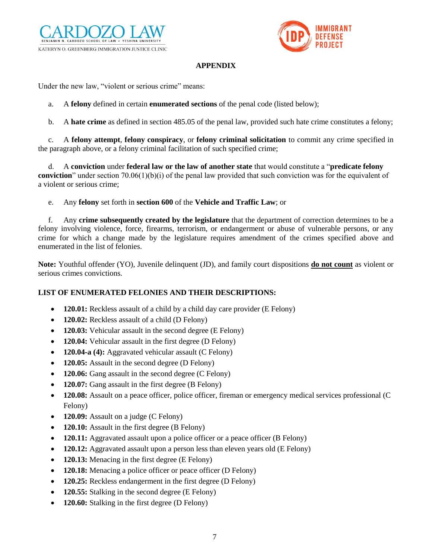



#### **APPENDIX**

Under the new law, "violent or serious crime" means:

- a. A **felony** defined in certain **enumerated sections** of the penal code (listed below);
- b. A **hate crime** as defined in section 485.05 of the penal law, provided such hate crime constitutes a felony;

c. A **felony attempt**, **felony conspiracy**, or **felony criminal solicitation** to commit any crime specified in the paragraph above, or a felony criminal facilitation of such specified crime;

d. A **conviction** under **federal law or the law of another state** that would constitute a "**predicate felony conviction**" under section 70.06(1)(b)(i) of the penal law provided that such conviction was for the equivalent of a violent or serious crime;

e. Any **felony** set forth in **section 600** of the **Vehicle and Traffic Law**; or

f. Any **crime subsequently created by the legislature** that the department of correction determines to be a felony involving violence, force, firearms, terrorism, or endangerment or abuse of vulnerable persons, or any crime for which a change made by the legislature requires amendment of the crimes specified above and enumerated in the list of felonies.

**Note:** Youthful offender (YO), Juvenile delinquent (JD), and family court dispositions **do not count** as violent or serious crimes convictions.

#### **LIST OF ENUMERATED FELONIES AND THEIR DESCRIPTIONS:**

- **120.01:** Reckless assault of a child by a child day care provider (E Felony)
- **120.02:** Reckless assault of a child (D Felony)
- **120.03:** Vehicular assault in the second degree (E Felony)
- **120.04:** Vehicular assault in the first degree (D Felony)
- **120.04-a (4):** Aggravated vehicular assault (C Felony)
- **120.05:** Assault in the second degree (D Felony)
- **120.06:** Gang assault in the second degree (C Felony)
- **120.07:** Gang assault in the first degree (B Felony)
- 120.08: Assault on a peace officer, police officer, fireman or emergency medical services professional (C Felony)
- **120.09:** Assault on a judge (C Felony)
- **120.10:** Assault in the first degree (B Felony)
- **120.11:** Aggravated assault upon a police officer or a peace officer (B Felony)
- **120.12:** Aggravated assault upon a person less than eleven years old (E Felony)
- **120.13:** Menacing in the first degree (E Felony)
- **120.18:** Menacing a police officer or peace officer (D Felony)
- **120.25:** Reckless endangerment in the first degree (D Felony)
- 120.55: Stalking in the second degree (E Felony)
- **120.60:** Stalking in the first degree (D Felony)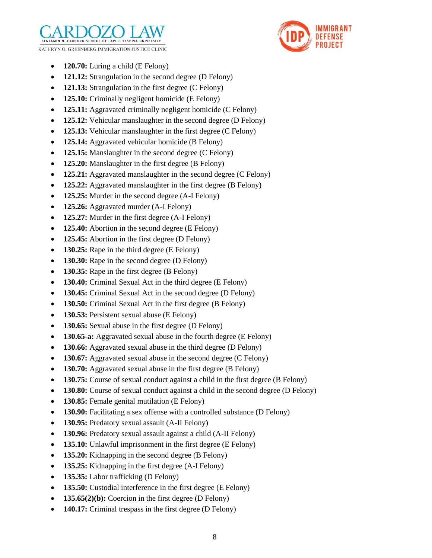



- 120.70: Luring a child (E Felony)
- 121.12: Strangulation in the second degree (D Felony)
- **121.13:** Strangulation in the first degree (C Felony)
- **125.10:** Criminally negligent homicide (E Felony)
- **125.11:** Aggravated criminally negligent homicide (C Felony)
- 125.12: Vehicular manslaughter in the second degree (D Felony)
- 125.13: Vehicular manslaughter in the first degree (C Felony)
- 125.14: Aggravated vehicular homicide (B Felony)
- 125.15: Manslaughter in the second degree (C Felony)
- 125.20: Manslaughter in the first degree (B Felony)
- 125.21: Aggravated manslaughter in the second degree (C Felony)
- 125.22: Aggravated manslaughter in the first degree (B Felony)
- 125.25: Murder in the second degree (A-I Felony)
- 125.26: Aggravated murder (A-I Felony)
- 125.27: Murder in the first degree (A-I Felony)
- 125.40: Abortion in the second degree (E Felony)
- 125.45: Abortion in the first degree (D Felony)
- 130.25: Rape in the third degree (E Felony)
- **130.30:** Rape in the second degree (D Felony)
- **130.35:** Rape in the first degree (B Felony)
- **130.40:** Criminal Sexual Act in the third degree (E Felony)
- **130.45:** Criminal Sexual Act in the second degree (D Felony)
- **130.50:** Criminal Sexual Act in the first degree (B Felony)
- **130.53:** Persistent sexual abuse (E Felony)
- **130.65:** Sexual abuse in the first degree (D Felony)
- **130.65-a:** Aggravated sexual abuse in the fourth degree (E Felony)
- **130.66:** Aggravated sexual abuse in the third degree (D Felony)
- **130.67:** Aggravated sexual abuse in the second degree (C Felony)
- **130.70:** Aggravated sexual abuse in the first degree (B Felony)
- **130.75:** Course of sexual conduct against a child in the first degree (B Felony)
- **130.80:** Course of sexual conduct against a child in the second degree (D Felony)
- **130.85:** Female genital mutilation (E Felony)
- **130.90:** Facilitating a sex offense with a controlled substance (D Felony)
- **130.95:** Predatory sexual assault (A-II Felony)
- **130.96:** Predatory sexual assault against a child (A-II Felony)
- **135.10:** Unlawful imprisonment in the first degree (E Felony)
- 135.20: Kidnapping in the second degree (B Felony)
- **135.25:** Kidnapping in the first degree (A-I Felony)
- **135.35:** Labor trafficking (D Felony)
- **135.50:** Custodial interference in the first degree (E Felony)
- **135.65(2)(b):** Coercion in the first degree (D Felony)
- **140.17:** Criminal trespass in the first degree (D Felony)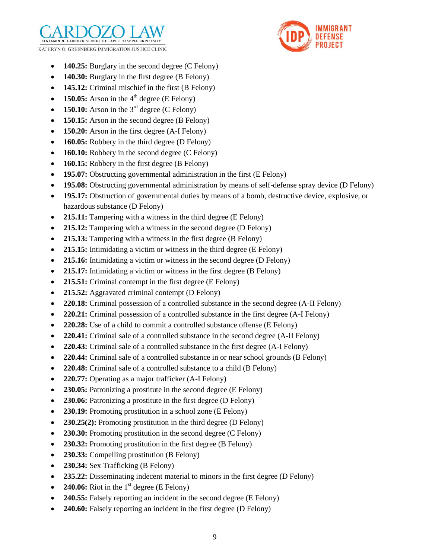



- **140.25:** Burglary in the second degree (C Felony)
- 140.30: Burglary in the first degree (B Felony)
- **145.12:** Criminal mischief in the first (B Felony)
- 150.05: Arson in the  $4<sup>th</sup>$  degree (E Felony)
- 150.10: Arson in the  $3<sup>rd</sup>$  degree (C Felony)
- 150.15: Arson in the second degree (B Felony)
- 150.20: Arson in the first degree (A-I Felony)
- **160.05:** Robbery in the third degree (D Felony)
- **160.10:** Robbery in the second degree (C Felony)
- **160.15:** Robbery in the first degree (B Felony)
- **195.07:** Obstructing governmental administration in the first (E Felony)
- **195.08:** Obstructing governmental administration by means of self-defense spray device (D Felony)
- **195.17:** Obstruction of governmental duties by means of a bomb, destructive device, explosive, or hazardous substance (D Felony)
- 215.11: Tampering with a witness in the third degree (E Felony)
- 215.12: Tampering with a witness in the second degree (D Felony)
- 215.13: Tampering with a witness in the first degree (B Felony)
- 215.15: Intimidating a victim or witness in the third degree (E Felony)
- **215.16:** Intimidating a victim or witness in the second degree (D Felony)
- 215.17: Intimidating a victim or witness in the first degree (B Felony)
- 215.51: Criminal contempt in the first degree (E Felony)
- 215.52: Aggravated criminal contempt (D Felony)
- 220.18: Criminal possession of a controlled substance in the second degree (A-II Felony)
- **220.21:** Criminal possession of a controlled substance in the first degree (A-I Felony)
- **220.28:** Use of a child to commit a controlled substance offense (E Felony)
- 220.41: Criminal sale of a controlled substance in the second degree (A-II Felony)
- **220.43:** Criminal sale of a controlled substance in the first degree (A-I Felony)
- **220.44:** Criminal sale of a controlled substance in or near school grounds (B Felony)
- **220.48:** Criminal sale of a controlled substance to a child (B Felony)
- **220.77:** Operating as a major trafficker (A-I Felony)
- 230.05: Patronizing a prostitute in the second degree (E Felony)
- 230.06: Patronizing a prostitute in the first degree (D Felony)
- **230.19:** Promoting prostitution in a school zone (E Felony)
- 230.25(2): Promoting prostitution in the third degree (D Felony)
- 230.30: Promoting prostitution in the second degree (C Felony)
- 230.32: Promoting prostitution in the first degree (B Felony)
- 230.33: Compelling prostitution (B Felony)
- 230.34: Sex Trafficking (B Felony)
- **235.22:** Disseminating indecent material to minors in the first degree (D Felony)
- 240.06: Riot in the  $1<sup>st</sup>$  degree (E Felony)
- **240.55:** Falsely reporting an incident in the second degree (E Felony)
- **240.60:** Falsely reporting an incident in the first degree (D Felony)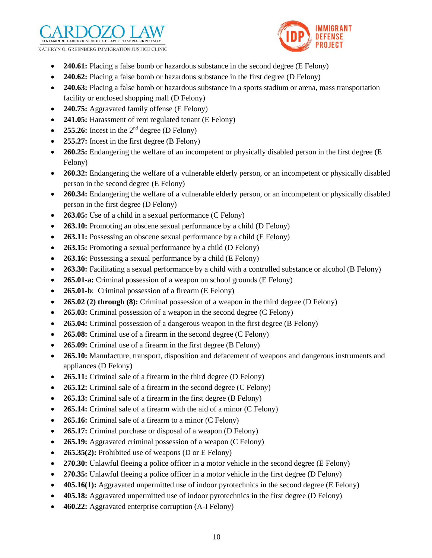KATHRYN O. GREENBERG IMMIGRATION JUSTICE CLINIC



- 240.61: Placing a false bomb or hazardous substance in the second degree (E Felony)
- **240.62:** Placing a false bomb or hazardous substance in the first degree (D Felony)
- **240.63:** Placing a false bomb or hazardous substance in a sports stadium or arena, mass transportation facility or enclosed shopping mall (D Felony)
- **240.75:** Aggravated family offense (E Felony)
- 241.05: Harassment of rent regulated tenant (E Felony)
- **255.26:** Incest in the  $2^{nd}$  degree (D Felony)
- **255.27:** Incest in the first degree (B Felony)
- 260.25: Endangering the welfare of an incompetent or physically disabled person in the first degree (E) Felony)
- **260.32:** Endangering the welfare of a vulnerable elderly person, or an incompetent or physically disabled person in the second degree (E Felony)
- 260.34: Endangering the welfare of a vulnerable elderly person, or an incompetent or physically disabled person in the first degree (D Felony)
- 263.05: Use of a child in a sexual performance (C Felony)
- **263.10:** Promoting an obscene sexual performance by a child (D Felony)
- **263.11:** Possessing an obscene sexual performance by a child (E Felony)
- 263.15: Promoting a sexual performance by a child (D Felony)
- 263.16: Possessing a sexual performance by a child (E Felony)
- **263.30:** Facilitating a sexual performance by a child with a controlled substance or alcohol (B Felony)
- **265.01-a:** Criminal possession of a weapon on school grounds (E Felony)
- 265.01-b: Criminal possession of a firearm (E Felony)
- 265.02 (2) through (8): Criminal possession of a weapon in the third degree (D Felony)
- **265.03:** Criminal possession of a weapon in the second degree (C Felony)
- **265.04:** Criminal possession of a dangerous weapon in the first degree (B Felony)
- 265.08: Criminal use of a firearm in the second degree (C Felony)
- **265.09:** Criminal use of a firearm in the first degree (B Felony)
- 265.10: Manufacture, transport, disposition and defacement of weapons and dangerous instruments and appliances (D Felony)
- 265.11: Criminal sale of a firearm in the third degree (D Felony)
- 265.12: Criminal sale of a firearm in the second degree (C Felony)
- 265.13: Criminal sale of a firearm in the first degree (B Felony)
- 265.14: Criminal sale of a firearm with the aid of a minor (C Felony)
- 265.16: Criminal sale of a firearm to a minor (C Felony)
- 265.17: Criminal purchase or disposal of a weapon (D Felony)
- 265.19: Aggravated criminal possession of a weapon (C Felony)
- 265.35(2): Prohibited use of weapons (D or E Felony)
- 270.30: Unlawful fleeing a police officer in a motor vehicle in the second degree (E Felony)
- 270.35: Unlawful fleeing a police officer in a motor vehicle in the first degree (D Felony)
- **405.16(1):** Aggravated unpermitted use of indoor pyrotechnics in the second degree (E Felony)
- **405.18:** Aggravated unpermitted use of indoor pyrotechnics in the first degree (D Felony)
- **460.22:** Aggravated enterprise corruption (A-I Felony)